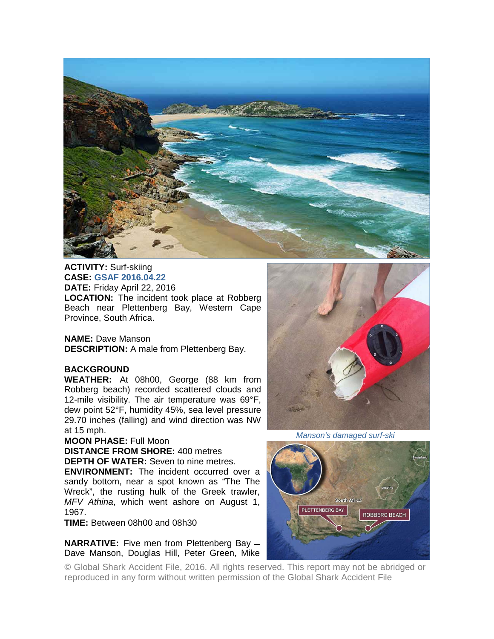

**ACTIVITY:** Surf-skiing **CASE: GSAF 2016.04.22 DATE:** Friday April 22, 2016 **LOCATION:** The incident took place at Robberg Beach near Plettenberg Bay, Western Cape Province, South Africa.

**NAME:** Dave Manson **DESCRIPTION:** A male from Plettenberg Bay.

## **BACKGROUND**

**WEATHER:** At 08h00, George (88 km from Robberg beach) recorded scattered clouds and 12-mile visibility. The air temperature was 69°F, dew point 52°F, humidity 45%, sea level pressure 29.70 inches (falling) and wind direction was NW at 15 mph.

## **MOON PHASE:** Full Moon

**DISTANCE FROM SHORE:** 400 metres

**DEPTH OF WATER:** Seven to nine metres.

**ENVIRONMENT:** The incident occurred over a sandy bottom, near a spot known as "The The Wreck", the rusting hulk of the Greek trawler, *MFV Athina*, which went ashore on August 1, 1967.

**TIME:** Between 08h00 and 08h30

**NARRATIVE:** Five men from Plettenberg Bay  $-$ Dave Manson, Douglas Hill, Peter Green, Mike



*Manson's damaged surf-ski* 



© Global Shark Accident File, 2016. All rights reserved. This report may not be abridged or reproduced in any form without written permission of the Global Shark Accident File